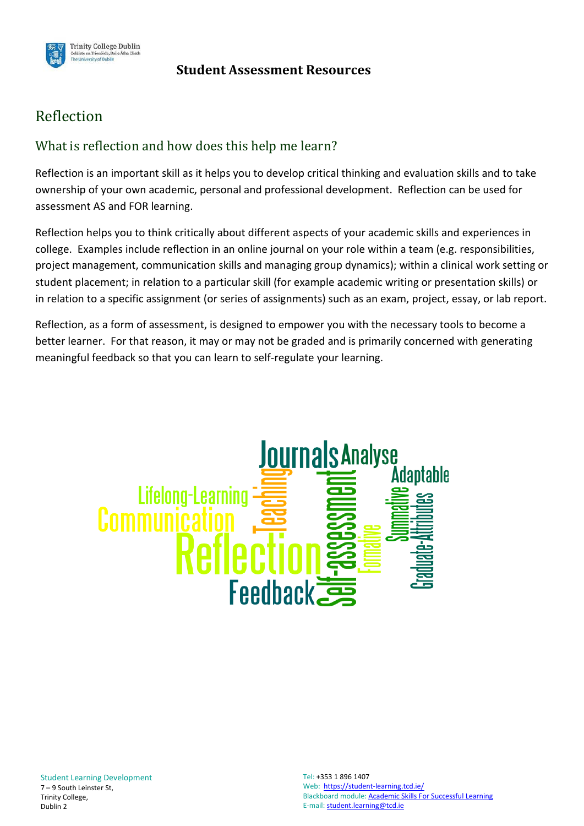

### **Student Assessment Resources**

# Reflection

# What is reflection and how does this help me learn?

Reflection is an important skill as it helps you to develop critical thinking and evaluation skills and to take ownership of your own academic, personal and professional development. Reflection can be used for assessment AS and FOR learning.

Reflection helps you to think critically about different aspects of your academic skills and experiences in college. Examples include reflection in an online journal on your role within a team (e.g. responsibilities, project management, communication skills and managing group dynamics); within a clinical work setting or student placement; in relation to a particular skill (for example academic writing or presentation skills) or in relation to a specific assignment (or series of assignments) such as an exam, project, essay, or lab report.

Reflection, as a form of assessment, is designed to empower you with the necessary tools to become a better learner. For that reason, it may or may not be graded and is primarily concerned with generating meaningful feedback so that you can learn to self-regulate your learning.

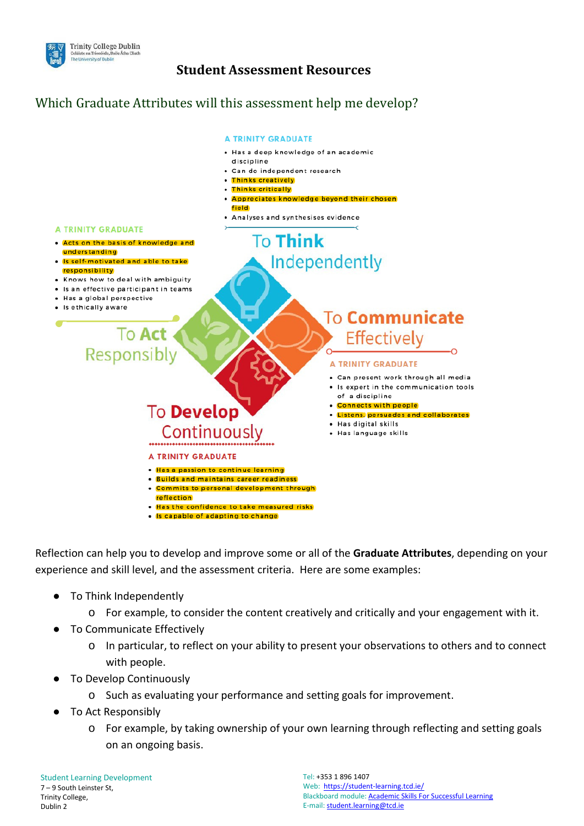

## **Student Assessment Resources**

# Which Graduate Attributes will this assessment help me develop?



Reflection can help you to develop and improve some or all of the **Graduate Attributes**, depending on your experience and skill level, and the assessment criteria. Here are some examples:

- To Think Independently
	- o For example, to consider the content creatively and critically and your engagement with it.
- To Communicate Effectively
	- o In particular, to reflect on your ability to present your observations to others and to connect with people.
- To Develop Continuously
	- o Such as evaluating your performance and setting goals for improvement.
- To Act Responsibly
	- o For example, by taking ownership of your own learning through reflecting and setting goals on an ongoing basis.